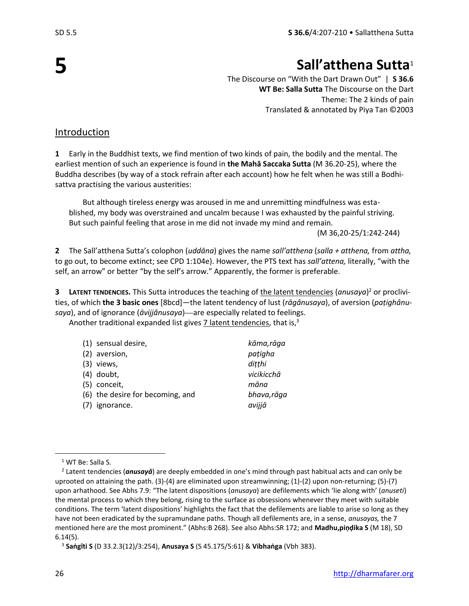**5**

# **Sall'atthena Sutta**<sup>1</sup>

The Discourse on "With the Dart Drawn Out" | **S 36.6 WT Be: Salla Sutta** The Discourse on the Dart Theme: The 2 kinds of pain Translated & annotated by Piya Tan ©2003

#### Introduction

**1** Early in the Buddhist texts, we find mention of two kinds of pain, the bodily and the mental. The earliest mention of such an experience is found in **the Mahā Saccaka Sutta** (M 36.20-25), where the Buddha describes (by way of a stock refrain after each account) how he felt when he was still a Bodhisattva practising the various austerities:

But although tireless energy was aroused in me and unremitting mindfulness was established, my body was overstrained and uncalm because I was exhausted by the painful striving. But such painful feeling that arose in me did not invade my mind and remain.

(M 36,20-25/1:242-244)

**2** The Sall'atthena Sutta's colophon (*uddāna*) gives the name *sall'atthena* (*salla + atthena,* from *attha,*  to go out, to become extinct; see CPD 1:104e). However, the PTS text has *sall'attena,* literally, "with the self, an arrow" or better "by the self's arrow." Apparently, the former is preferable.

**3 LATENT TENDENCIES.** This Sutta introduces the teaching of the latent tendencies (*anusaya*) <sup>2</sup> or proclivities, of which **the 3 basic ones** [8bcd]—the latent tendency of lust (*rāgânusaya*), of aversion (*paṭighânu*saya), and of ignorance (*āvijjânusaya*)—are especially related to feelings.

Another traditional expanded list gives  $7$  latent tendencies, that is, $3$ 

|     | (1) sensual desire,              | kāma,rāga   |
|-----|----------------------------------|-------------|
|     | (2) aversion,                    | pațigha     |
|     | $(3)$ views,                     | ditthi      |
|     | $(4)$ doubt,                     | vicikicchā  |
|     | (5) conceit,                     | māna        |
|     | (6) the desire for becoming, and | bhava, rāga |
| (7) | ignorance.                       | avijjā      |

<sup>&</sup>lt;sup>1</sup> WT Be: Salla S.

<sup>2</sup> Latent tendencies (*anusayā*) are deeply embedded in one's mind through past habitual acts and can only be uprooted on attaining the path. (3)-(4) are eliminated upon streamwinning; (1)-(2) upon non-returning; (5)-(7) upon arhathood. See Abhs 7.9: "The latent dispositions (*anusaya*) are defilements which 'lie along with' (*anuseti*) the mental process to which they belong, rising to the surface as obsessions whenever they meet with suitable conditions. The term 'latent dispositions' highlights the fact that the defilements are liable to arise so long as they have not been eradicated by the supramundane paths. Though all defilements are, in a sense, *anusayas,* the 7 mentioned here are the most prominent." (Abhs:B 268). See also Abhs:SR 172; and **Madhu,piṇḍika S** (M 18), SD 6.14(5).

<sup>3</sup> **Saṅgīti S** (D 33.2.3(12)/3:254), **Anusaya S** (S 45.175/5:61) & **Vibhaṅga** (Vbh 383).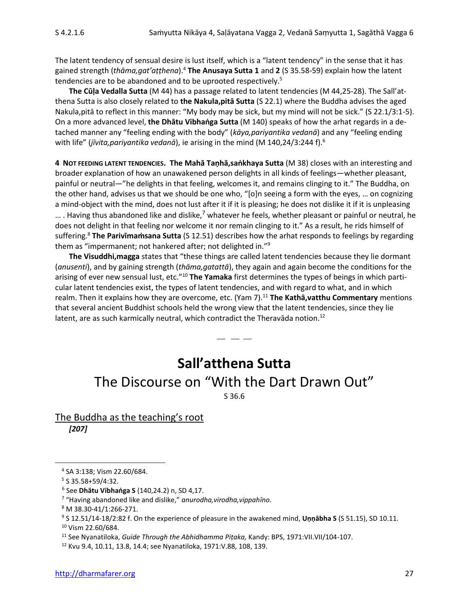The latent tendency of sensual desire is lust itself, which is a "latent tendency" in the sense that it has gained strength (*thāma,gat'aṭṭhena*).<sup>4</sup> **The Anusaya Sutta 1** and **2** (S 35.58-59) explain how the latent tendencies are to be abandoned and to be uprooted respectively.<sup>5</sup>

**The Cūḷa Vedalla Sutta** (M 44) has a passage related to latent tendencies (M 44,25-28). The Sall'atthena Sutta is also closely related to **the Nakula,pitā Sutta** (S 22.1) where the Buddha advises the aged Nakula,pitā to reflect in this manner: "My body may be sick, but my mind will not be sick." (S 22.1/3:1-5). On a more advanced level, **the Dhātu Vibhaṅga Sutta** (M 140) speaks of how the arhat regards in a detached manner any "feeling ending with the body" (*kāya,pariyantika vedanā*) and any "feeling ending with life" (*jīvita,pariyantika vedanā*), ie arising in the mind (M 140,24/3:244 f).<sup>6</sup>

**4 NOT FEEDING LATENT TENDENCIES. The Mahā Taṇhā,saṅkhaya Sutta** (M 38) closes with an interesting and broader explanation of how an unawakened person delights in all kinds of feelings—whether pleasant, painful or neutral—"he delights in that feeling, welcomes it, and remains clinging to it." The Buddha, on the other hand, advises us that we should be one who, "[o]n seeing a form with the eyes, … on cognizing a mind-object with the mind, does not lust after it if it is pleasing; he does not dislike it if it is unpleasing  $\dots$ . Having thus abandoned like and dislike,<sup>7</sup> whatever he feels, whether pleasant or painful or neutral, he does not delight in that feeling nor welcome it nor remain clinging to it." As a result, he rids himself of suffering.<sup>8</sup> The Parivimamsana Sutta (S 12.51) describes how the arhat responds to feelings by regarding them as "impermanent; not hankered after; not delighted in."<sup>9</sup>

**The Visuddhi,magga** states that "these things are called latent tendencies because they lie dormant (*anusenti*), and by gaining strength (*thāma,gatattā*), they again and again become the conditions for the arising of ever new sensual lust, etc."<sup>10</sup> **The Yamaka** first determines the types of beings in which particular latent tendencies exist, the types of latent tendencies, and with regard to what, and in which realm. Then it explains how they are overcome, etc. (Yam 7).<sup>11</sup> **The Kathā,vatthu Commentary** mentions that several ancient Buddhist schools held the wrong view that the latent tendencies, since they lie latent, are as such karmically neutral, which contradict the Theravada notion.<sup>12</sup>

## **Sall'atthena Sutta**

 $-$ 

## The Discourse on "With the Dart Drawn Out"

S 36.6

The Buddha as the teaching's root *[207]*

<sup>11</sup> See Nyanatiloka, *Guide Through the Abhidhamma Piṭaka,* Kandy: BPS, 1971:VII.VII/104-107.

<sup>4</sup> SA 3:138; Vism 22.60/684.

<sup>5</sup> S 35.58+59/4:32.

<sup>6</sup> See **Dhātu Vibhaṅga S** (140,24.2) n, SD 4,17.

<sup>7</sup> "Having abandoned like and dislike," *anurodha,virodha,vippahīno.*

<sup>8</sup> M 38.30-41/1:266-271.

<sup>9</sup> S 12.51/14-18/2:82 f. On the experience of pleasure in the awakened mind, **Uṇṇābha S** (S 51.15), SD 10.11. <sup>10</sup> Vism 22.60/684.

<sup>12</sup> Kvu 9.4, 10.11, 13.8, 14.4; see Nyanatiloka, 1971:V.88, 108, 139.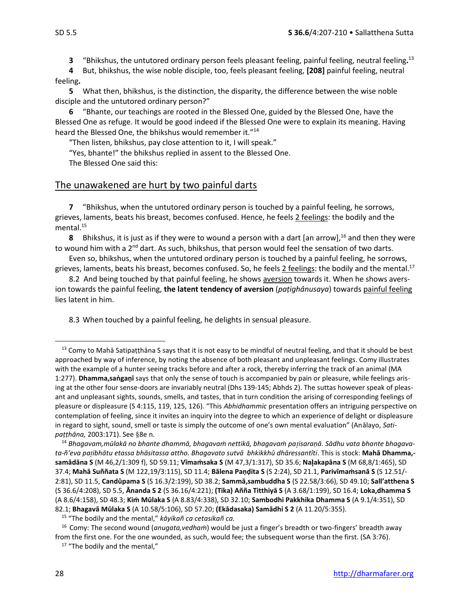**3** "Bhikshus, the untutored ordinary person feels pleasant feeling, painful feeling, neutral feeling**.** 13

**4** But, bhikshus, the wise noble disciple, too, feels pleasant feeling, **[208]** painful feeling, neutral feeling**.**

**5** What then, bhikshus, is the distinction, the disparity, the difference between the wise noble disciple and the untutored ordinary person?"

**6** "Bhante, our teachings are rooted in the Blessed One, guided by the Blessed One, have the Blessed One as refuge. It would be good indeed if the Blessed One were to explain its meaning. Having heard the Blessed One, the bhikshus would remember it."<sup>14</sup>

"Then listen, bhikshus, pay close attention to it, I will speak."

"Yes, bhante!" the bhikshus replied in assent to the Blessed One.

The Blessed One said this:

#### The unawakened are hurt by two painful darts

**7** "Bhikshus, when the untutored ordinary person is touched by a painful feeling, he sorrows, grieves, laments, beats his breast, becomes confused. Hence, he feels 2 feelings: the bodily and the mental.<sup>15</sup>

**8** Bhikshus, it is just as if they were to wound a person with a dart [an arrow],<sup>16</sup> and then they were to wound him with a 2<sup>nd</sup> dart. As such, bhikshus, that person would feel the sensation of two darts.

Even so, bhikshus, when the untutored ordinary person is touched by a painful feeling, he sorrows, grieves, laments, beats his breast, becomes confused. So, he feels  $2$  feelings: the bodily and the mental.<sup>17</sup>

8.2 And being touched by that painful feeling, he shows aversion towards it. When he shows aversion towards the painful feeling, **the latent tendency of aversion** (*paṭighânusaya*) towards painful feeling lies latent in him.

8.3 When touched by a painful feeling, he delights in sensual pleasure.

 $13$  Comy to Mahā Satipatthāna S says that it is not easy to be mindful of neutral feeling, and that it should be best approached by way of inference, by noting the absence of both pleasant and unpleasant feelings. Comy illustrates with the example of a hunter seeing tracks before and after a rock, thereby inferring the track of an animal (MA 1:277). **Dhamma,saṅgaṇī** says that only the sense of touch is accompanied by pain or pleasure, while feelings arising at the other four sense-doors are invariably neutral (Dhs 139-145; Abhds 2). The suttas however speak of pleasant and unpleasant sights, sounds, smells, and tastes, that in turn condition the arising of corresponding feelings of pleasure or displeasure (S 4:115, 119, 125, 126). "This *Abhidhammic* presentation offers an intriguing perspective on contemplation of feeling, since it invites an inquiry into the degree to which an experience of delight or displeasure in regard to sight, sound, smell or taste is simply the outcome of one's own mental evaluation" (Anālayo, *Satipatthāna*, 2003:171). See §8e n.

<sup>14</sup> *Bhagavam,mūlakā no bhante dhammā, bhagavaṁ nettikā, bhagavaṁ paisaraṇā. Sādhu vata bhante bhagavata-ñ'eva paibhātu etassa bhāsitassa attho. Bhagavato sutvā bhkikkhū dhāressantîti*. This is stock: **Mahā Dhamma, samādāna S** (M 46,2/1:309 f), SD 59.11; **Vīmaṁsaka S** (M 47,3/1:317), SD 35.6; **Naakapāna S** (M 68,8/1:465), SD 37.4; **Mahā Suññata S** (M 122,19/3:115), SD 11.4; **Bālena Paṇḍita S** (S 2:24), SD 21.1, **Parivīmaṁsanā S** (S 12.51/- 2:81), SD 11.5, **Candûpama S** (S 16.3/2:199), SD 38.2; **Sammā,sambuddha S** (S 22.58/3:66), SD 49.10; **Sall'atthena S** (S 36.6/4:208), SD 5.5, **Ānanda S 2** (S 36.16/4:221); **(Tika) Añña Titthiyā S** (A 3.68/1:199), SD 16.4; **Loka,dhamma S**  (A 8.6/4:158), SD 48.3; **Kiṁ Mūlaka S** (A 8.83/4:338), SD 32.10; **Sambodhi Pakkhika Dhamma S** (A 9.1/4:351), SD 82.1; **Bhagavā Mūlaka S** (A 10.58/5:106), SD 57.20; **(Ekādasaka) Samādhi S 2** (A 11.20/5:355).

<sup>15</sup> "The bodily and the mental," *kāyikañ ca cetasikañ ca.*

<sup>16</sup> Comy: The second wound (*anugata,vedhaṁ*) would be just a finger's breadth or two-fingers' breadth away from the first one. For the one wounded, as such, would fee; the subsequent worse than the first. (SA 3:76).

<sup>&</sup>lt;sup>17</sup> "The bodily and the mental,"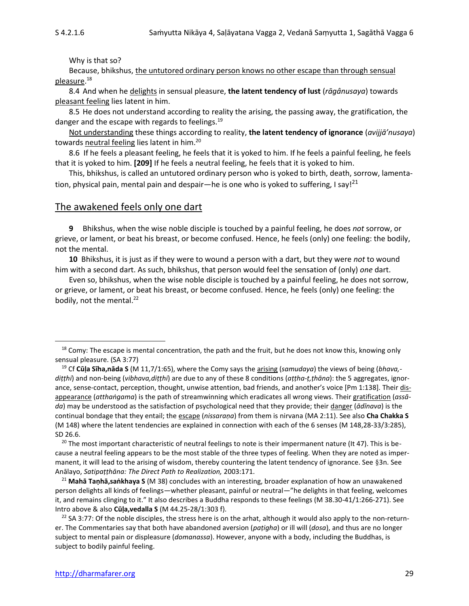Why is that so?

Because, bhikshus, the untutored ordinary person knows no other escape than through sensual pleasure.<sup>18</sup>

8.4 And when he delights in sensual pleasure, **the latent tendency of lust** (*rāgânusaya*) towards pleasant feeling lies latent in him.

8.5 He does not understand according to reality the arising, the passing away, the gratification, the danger and the escape with regards to feelings.<sup>19</sup>

Not understanding these things according to reality, **the latent tendency of ignorance** (*avijjā'nusaya*) towards neutral feeling lies latent in him.<sup>20</sup>

8.6 If he feels a pleasant feeling, he feels that it is yoked to him. If he feels a painful feeling, he feels that it is yoked to him. **[209]** If he feels a neutral feeling, he feels that it is yoked to him.

This, bhikshus, is called an untutored ordinary person who is yoked to birth, death, sorrow, lamentation, physical pain, mental pain and despair—he is one who is yoked to suffering, I say!<sup>21</sup>

#### The awakened feels only one dart

**9** Bhikshus, when the wise noble disciple is touched by a painful feeling, he does *not* sorrow, or grieve, or lament, or beat his breast, or become confused. Hence, he feels (only) one feeling: the bodily, not the mental.

**10** Bhikshus, it is just as if they were to wound a person with a dart, but they were *not* to wound him with a second dart. As such, bhikshus, that person would feel the sensation of (only) *one* dart.

Even so, bhikshus, when the wise noble disciple is touched by a painful feeling, he does not sorrow, or grieve, or lament, or beat his breast, or become confused. Hence, he feels (only) one feeling: the bodily, not the mental.<sup>22</sup>

<sup>20</sup> The most important characteristic of neutral feelings to note is their impermanent nature (It 47). This is because a neutral feeling appears to be the most stable of the three types of feeling. When they are noted as impermanent, it will lead to the arising of wisdom, thereby countering the latent tendency of ignorance. See 3n. See Anālayo, *Satipaṭṭhāna: The Direct Path to Realization,* 2003:171.

<sup>21</sup> **Mahā Taṇhā,saṅkhaya S** (M 38) concludes with an interesting, broader explanation of how an unawakened person delights all kinds of feelings—whether pleasant, painful or neutral—"he delights in that feeling, welcomes it, and remains clinging to it." It also describes a Buddha responds to these feelings (M 38.30-41/1:266-271). See Intro above & also **Cūḷa,vedalla S** (M 44.25-28/1:303 f).

<sup>22</sup> SA 3:77: Of the noble disciples, the stress here is on the arhat, although it would also apply to the non-returner. The Commentaries say that both have abandoned aversion (*paṭigha*) or ill will (*dosa*), and thus are no longer subject to mental pain or displeasure (*domanassa*). However, anyone with a body, including the Buddhas, is subject to bodily painful feeling.

 $18$  Comy: The escape is mental concentration, the path and the fruit, but he does not know this, knowing only sensual pleasure. (SA 3:77)

<sup>19</sup> Cf **Cūḷa Sīha,nāda S** (M 11,7/1:65), where the Comy says the arising (*samudaya*) the views of being (*bhava, diṭṭhi*) and non-being (*vibhava,diṭṭhi*) are due to any of these 8 conditions (*aṭṭha-ṭ,ṭhāna*): the 5 aggregates, ignorance, sense-contact, perception, thought, unwise attention, bad friends, and another's voice [Pm 1:138]. Their disappearance (*atthaṅgama*) is the path of streamwinning which eradicates all wrong views. Their gratification (*assāda*) may be understood as the satisfaction of psychological need that they provide; their danger (*ādīnava*) is the continual bondage that they entail; the escape (*nissaraṇa*) from them is nirvana (MA 2:11). See also **Cha Chakka S** (M 148) where the latent tendencies are explained in connection with each of the 6 senses (M 148,28-33/3:285), SD 26.6.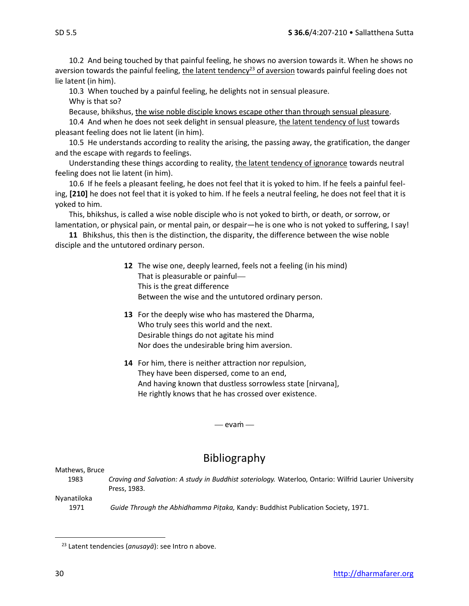10.2 And being touched by that painful feeling, he shows no aversion towards it. When he shows no aversion towards the painful feeling, the latent tendency<sup>23</sup> of aversion towards painful feeling does not

lie latent (in him).

10.3 When touched by a painful feeling, he delights not in sensual pleasure.

Why is that so?

Because, bhikshus, the wise noble disciple knows escape other than through sensual pleasure.

10.4 And when he does not seek delight in sensual pleasure, the latent tendency of lust towards pleasant feeling does not lie latent (in him).

10.5 He understands according to reality the arising, the passing away, the gratification, the danger and the escape with regards to feelings.

Understanding these things according to reality, the latent tendency of ignorance towards neutral feeling does not lie latent (in him).

10.6 If he feels a pleasant feeling, he does not feel that it is yoked to him. If he feels a painful feeling, **[210]** he does not feel that it is yoked to him. If he feels a neutral feeling, he does not feel that it is yoked to him.

This, bhikshus, is called a wise noble disciple who is not yoked to birth, or death, or sorrow, or lamentation, or physical pain, or mental pain, or despair—he is one who is not yoked to suffering, I say!

**11** Bhikshus, this then is the distinction, the disparity, the difference between the wise noble disciple and the untutored ordinary person.

- **12** The wise one, deeply learned, feels not a feeling (in his mind) That is pleasurable or painful This is the great difference Between the wise and the untutored ordinary person.
- **13** For the deeply wise who has mastered the Dharma, Who truly sees this world and the next. Desirable things do not agitate his mind Nor does the undesirable bring him aversion.
- **14** For him, there is neither attraction nor repulsion, They have been dispersed, come to an end, And having known that dustless sorrowless state [nirvana], He rightly knows that he has crossed over existence.

— evam —

### Bibliography

Mathews, Bruce

1983 *Craving and Salvation: A study in Buddhist soteriology.* Waterloo, Ontario: Wilfrid Laurier University Press, 1983.

Nyanatiloka

1971 *Guide Through the Abhidhamma Piṭaka,* Kandy: Buddhist Publication Society, 1971.

<sup>23</sup> Latent tendencies (*anusayā*): see Intro n above.